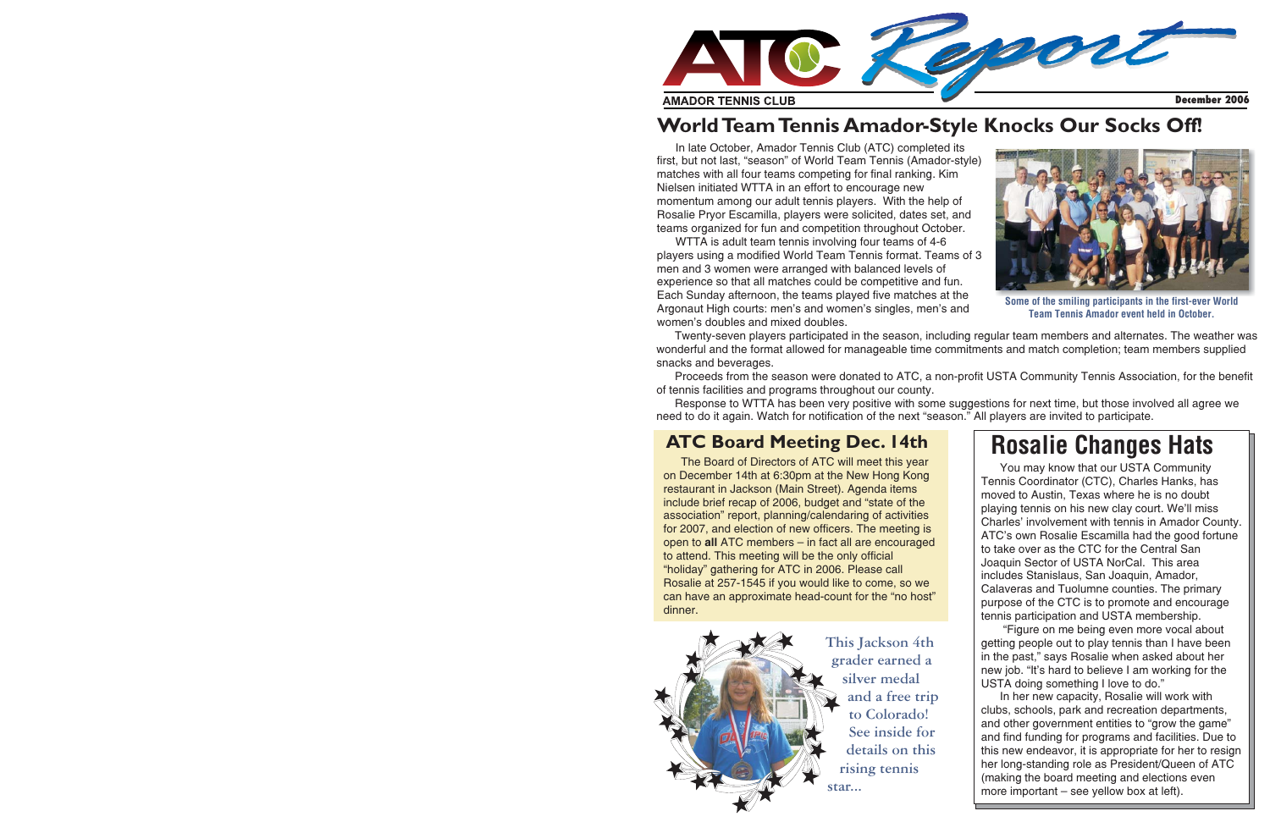

### **WorldTeamTennis Amador-Style Knocks Our Socks Off!**

In late October, Amador Tennis Club (ATC) completed its first, but not last, "season" of World Team Tennis (Amador-style) matches with all four teams competing for final ranking. Kim Nielsen initiated WTTA in an effort to encourage new momentum among our adult tennis players. With the help of Rosalie Pryor Escamilla, players were solicited, dates set, and teams organized for fun and competition throughout October.

WTTA is adult team tennis involving four teams of 4-6 players using <sup>a</sup> modified World Team Tennis format. Teams of 3 men and 3 women were arranged with balanced levels of experience so that all matches could be competitive and fun. Each Sunday afternoon, the teams played five matches at the Argonaut High courts: men's and women's singles, men's and women's doubles and mixed doubles.



Some of the smiling participants in the first-ever World Team Tennis Amador event held in October.

Twenty-seven players participated in the season, including regular team members and alternates. The weather was wonderful and the format allowed for manageable time commitments and match completion; team members supplied snacks and beverages.

Proceeds from the season were donated to ATC, <sup>a</sup> non-profit USTA Community Tennis Association, for the benefit of tennis facilities and programs throughout our county.

Response to WTTA has been very positive with some suggestions for next time, but those involved all agree we need to do it again. Watch for notification of the next "season." All players are invited to participate.

#### **ATC Board Meeting Dec. 14th**

The Board of Directors of ATC will meet this year on December 14th at 6:30pm at the New Hong Kong restaurant in Jackson (Main Street). Agenda items include brief recap of 2006, budget and "state of the association" report, planning/calendaring of activities for 2007, and election of new officers. The meeting is open to **all** ATC members – in fact all are encouraged to attend. This meeting will be the only official "holiday" gathering for ATC in 2006. Please call Rosalie at 257-1545 if you would like to come, so we can have an approximate head-count for the "no host" dinner.



## **Rosalie Changes Hats**

You may know that our USTA Community Tennis Coordinator (CTC), Charles Hanks, has moved to Austin, Texas where he is no doubt playing tennis on his new clay court. We'll miss Charles' involvement with tennis in Amador County. ATC's own Rosalie Escamilla had the good fortune to take over as the CTC for the Central SanJoaquin Sector of USTA NorCal. This area includes Stanislaus, San Joaquin, Amador, Calaveras and Tuolumne counties. The primary purpose of the CTC is to promote and encourage tennis participation and USTA membership.

"Figure on me being even more vocal about getting people out to play tennis than I have been in the past," says Rosalie when asked about her new job. "It's hard to believe I am working for the USTA doing something I love to do."

In her new capacity, Rosalie will work with clubs, schools, park and recreation departments, and other government entities to "grow the game" and find funding for programs and facilities. Due to this new endeavor, it is appropriate for her to resign her long-standing role as President/Queen of ATC (making the board meeting and elections even more important – see yellow box at left).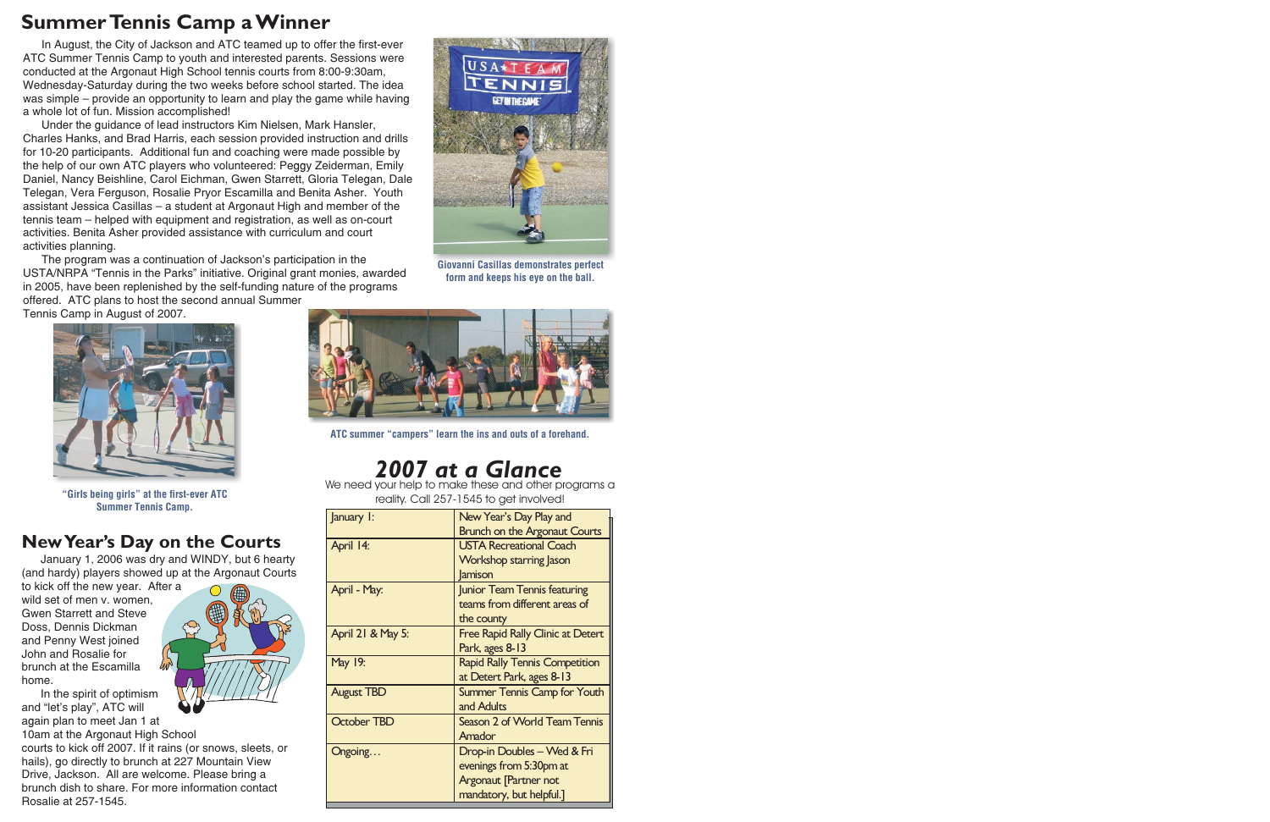### **SummerTennis Camp <sup>a</sup> Winner**

In August, the City of Jackson and ATC teamed up to offer the first-ever ATC Summer Tennis Camp to youth and interested parents. Sessions were conducted at the Argonaut High School tennis courts from 8:00-9:30am, Wednesday-Saturday during the two weeks before school started. The idea was simple – provide an opportunity to learn and play the game while having <sup>a</sup> whole lot of fun. Mission accomplished!

Under the guidance of lead instructors Kim Nielsen, Mark Hansler, Charles Hanks, and Brad Harris, each session provided instruction and drills for 10-20 participants. Additional fun and coaching were made possible by the help of our own ATC players who volunteered: Peggy Zeiderman, Emily Daniel, Nancy Beishline, Carol Eichman, Gwen Starrett, Gloria Telegan, Dale Telegan, Vera Ferguson, Rosalie Pryor Escamilla and Benita Asher. Youth assistant Jessica Casillas – <sup>a</sup> student at Argonaut High and member of the tennis team – helped with equipment and registration, as well as on-court activities. Benita Asher provided assistance with curriculum and court activities planning.

The program was <sup>a</sup> continuation of Jackson's participation in the USTA/NRPA "Tennis in the Parks" initiative. Original grant monies, awarded in 2005, have been replenished by the self-funding nature of the programs offered. ATC plans to host the second annual Summer

Tennis Camp in August of 2007.



Giovanni Casillas demonstrates perfect form and keeps his eye on the ball.



"Girls being girls" at the first-ever ATC Summer Tennis Camp.

#### **NewYear's Day on the Courts**

January 1, 2006 was dry and WINDY, but 6 hearty (and hardy) players showed up at the Argonaut Courts

to kick off the new year. After <sup>a</sup> wild set of men v. women. Gwen Starrett and SteveDoss, Dennis Dickman and Penny West joined John and Rosalie forbrunch at the Escamillahome.

In the spirit of optimism and "let's play", ATC will again plan to meet Jan 1 at

10am at the Argonaut High School courts to kick off 2007. If it rains (or snows, sleets, or hails), go directly to brunch at 227 Mountain View Drive, Jackson. All are welcome. Please bring <sup>a</sup> brunch dish to share. For more information contact Rosalie at 257-1545.





ATC summer "campers" learn the ins and outs of <sup>a</sup> forehand.

# *2007 at <sup>a</sup> Glance*

 We need your help to make these and other programs <sup>a</sup> reality. Call 257-1545 to get involved!

| January I:         | New Year's Day Play and                  |
|--------------------|------------------------------------------|
|                    | <b>Brunch on the Argonaut Courts</b>     |
| April 14:          | <b>USTA Recreational Coach</b>           |
|                    | <b>Workshop starring Jason</b>           |
|                    | <b>Jamison</b>                           |
| April - May:       | Junior Team Tennis featuring             |
|                    | teams from different areas of            |
|                    | the county                               |
| April 21 & May 5:  | <b>Free Rapid Rally Clinic at Detert</b> |
|                    | Park, ages 8-13                          |
| May 19:            | <b>Rapid Rally Tennis Competition</b>    |
|                    | at Detert Park, ages 8-13                |
| <b>August TBD</b>  | <b>Summer Tennis Camp for Youth</b>      |
|                    | and Adults                               |
| <b>October TBD</b> | Season 2 of World Team Tennis            |
|                    | Amador                                   |
| Ongoing            | Drop-in Doubles - Wed & Fri              |
|                    | evenings from 5:30pm at                  |
|                    | <b>Argonaut [Partner not</b>             |
|                    | mandatory, but helpful.]                 |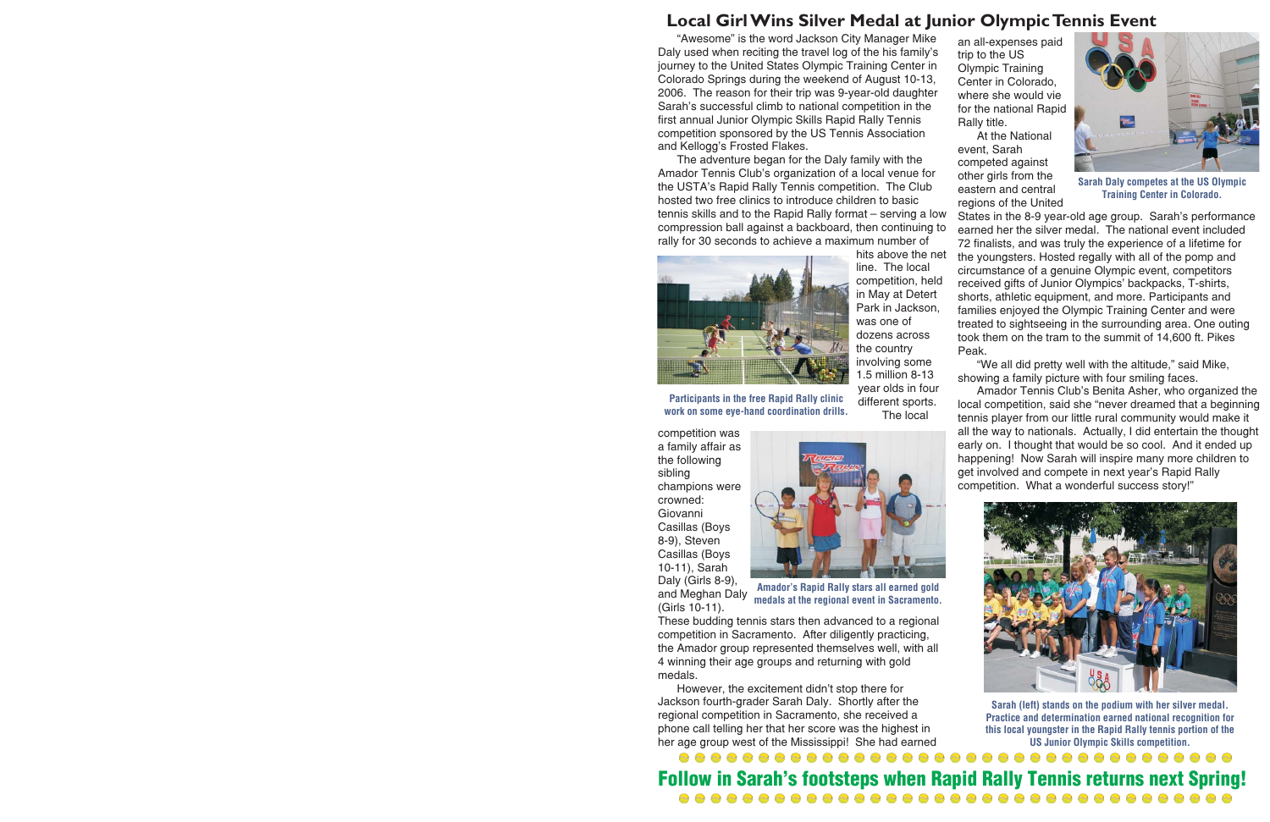#### **Local Girl Wins Silver Medal at Junior OlympicTennis Event**

"Awesome" is the word Jackson City Manager Mike Daly used when reciting the travel log of the his family's journey to the United States Olympic Training Center in Colorado Springs during the weekend of August 10-13, 2006. The reason for their trip was 9-year-old daughter Sarah's successful climb to national competition in the first annual Junior Olympic Skills Rapid Rally Tennis competition sponsored by the US Tennis Association and Kellogg's Frosted Flakes.

The adventure began for the Daly family with the Amador Tennis Club's organization of <sup>a</sup> local venue for the USTA's Rapid Rally Tennis competition. The Club hosted two free clinics to introduce children to basictennis skills and to the Rapid Rally format – serving <sup>a</sup> low compression ball against <sup>a</sup> backboard, then continuing to rally for 30 seconds to achieve <sup>a</sup> maximum number of



Participants in the free Rapid Rally clinic work on some eye-hand coordination drills. hits above the net line. The local competition, held in May at Detert Park in Jackson, was one of dozens acrossthe country involving some 1.5 million 8-13year olds in four different sports. The local

competition was <sup>a</sup> family affair as the following sibling champions were crowned:GiovanniCasillas (Boys 8-9), Steven Casillas (Boys 10-11), Sarah Daly (Girls 8-9), and Meghan Daly (Girls 10-11).



Amador's Rapid Rally stars all earned gold medals at the regional event in Sacramento.

These budding tennis stars then advanced to <sup>a</sup> regional competition in Sacramento. After diligently practicing, the Amador group represented themselves well, with all 4 winning their age groups and returning with gold medals.

However, the excitement didn't stop there for Jackson fourth-grader Sarah Daly. Shortly after the regional competition in Sacramento, she received <sup>a</sup> phone call telling her that her score was the highest in her age group west of the Mississippi! She had earned

an all-expenses paid trip to the US Olympic Training Center in Colorado, where she would viefor the national Rapid Rally title.

At the National event, Sarah competed against other girls from the eastern and central regions of the United



Sarah Daly competes at the US Olympic Training Center in Colorado.

States in the 8-9 year-old age group. Sarah's performance earned her the silver medal. The national event included 72 finalists, and was truly the experience of <sup>a</sup> lifetime for the youngsters. Hosted regally with all of the pomp and circumstance of <sup>a</sup> genuine Olympic event, competitors received gifts of Junior Olympics' backpacks, T-shirts, shorts, athletic equipment, and more. Participants and families enjoyed the Olympic Training Center and were treated to sightseeing in the surrounding area. One outing took them on the tram to the summit of 14,600 ft. Pikes Peak.

"We all did pretty well with the altitude," said Mike, showing <sup>a</sup> family picture with four smiling faces.

Amador Tennis Club's Benita Asher, who organized the local competition, said she "never dreamed that <sup>a</sup> beginning tennis player from our little rural community would make it all the way to nationals. Actually, I did entertain the thought early on. I thought that would be so cool. And it ended up happening! Now Sarah will inspire many more children to get involved and compete in next year's Rapid Rally competition. What <sup>a</sup> wonderful success story!"



Sarah (left) stands on the podium with her silver medal. Practice and determination earned national recognition for this local youngster in the Rapid Rally tennis portion of the US Junior Olympic Skills competition.

Follow in Sarah's footsteps when Rapid Rally Tennis returns next Spring!